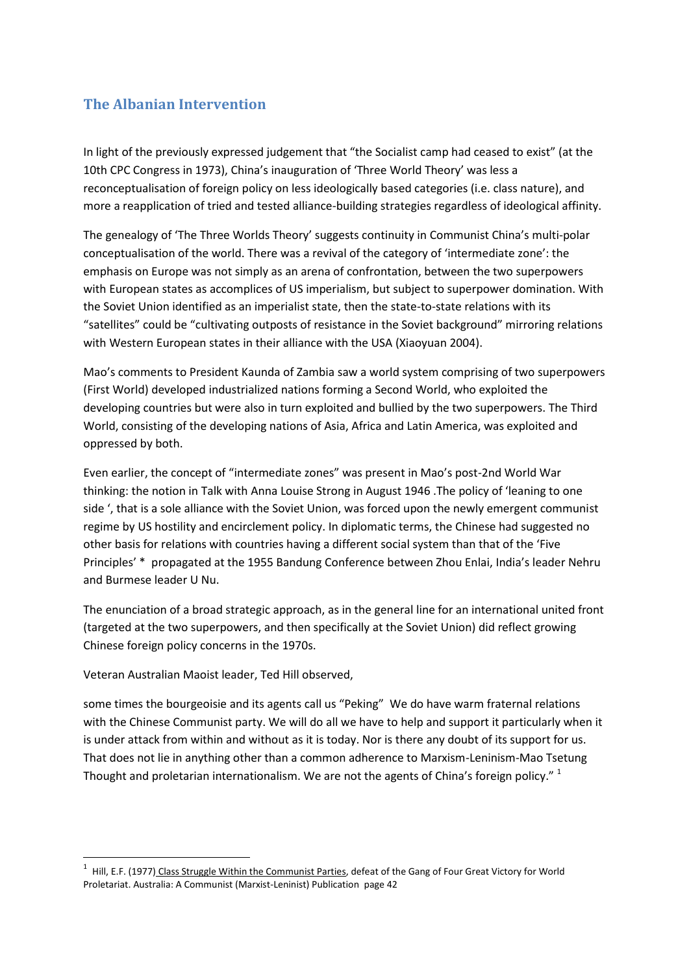## **The Albanian Intervention**

In light of the previously expressed judgement that "the Socialist camp had ceased to exist" (at the 10th CPC Congress in 1973), China's inauguration of 'Three World Theory' was less a reconceptualisation of foreign policy on less ideologically based categories (i.e. class nature), and more a reapplication of tried and tested alliance-building strategies regardless of ideological affinity.

The genealogy of 'The Three Worlds Theory' suggests continuity in Communist China's multi-polar conceptualisation of the world. There was a revival of the category of 'intermediate zone': the emphasis on Europe was not simply as an arena of confrontation, between the two superpowers with European states as accomplices of US imperialism, but subject to superpower domination. With the Soviet Union identified as an imperialist state, then the state-to-state relations with its "satellites" could be "cultivating outposts of resistance in the Soviet background" mirroring relations with Western European states in their alliance with the USA (Xiaoyuan 2004).

Mao's comments to President Kaunda of Zambia saw a world system comprising of two superpowers (First World) developed industrialized nations forming a Second World, who exploited the developing countries but were also in turn exploited and bullied by the two superpowers. The Third World, consisting of the developing nations of Asia, Africa and Latin America, was exploited and oppressed by both.

Even earlier, the concept of "intermediate zones" was present in Mao's post-2nd World War thinking: the notion in Talk with Anna Louise Strong in August 1946 .The policy of 'leaning to one side ', that is a sole alliance with the Soviet Union, was forced upon the newly emergent communist regime by US hostility and encirclement policy. In diplomatic terms, the Chinese had suggested no other basis for relations with countries having a different social system than that of the 'Five Principles' \* propagated at the 1955 Bandung Conference between Zhou Enlai, India's leader Nehru and Burmese leader U Nu.

The enunciation of a broad strategic approach, as in the general line for an international united front (targeted at the two superpowers, and then specifically at the Soviet Union) did reflect growing Chinese foreign policy concerns in the 1970s.

Veteran Australian Maoist leader, Ted Hill observed,

**.** 

some times the bourgeoisie and its agents call us "Peking" We do have warm fraternal relations with the Chinese Communist party. We will do all we have to help and support it particularly when it is under attack from within and without as it is today. Nor is there any doubt of its support for us. That does not lie in anything other than a common adherence to Marxism-Leninism-Mao Tsetung Thought and proletarian internationalism. We are not the agents of China's foreign policy."  $1$ 

<sup>&</sup>lt;sup>1</sup> Hill, E.F. (1977<u>) Class Struggle Within the Communist Parties</u>, defeat of the Gang of Four Great Victory for World Proletariat. Australia: A Communist (Marxist-Leninist) Publication page 42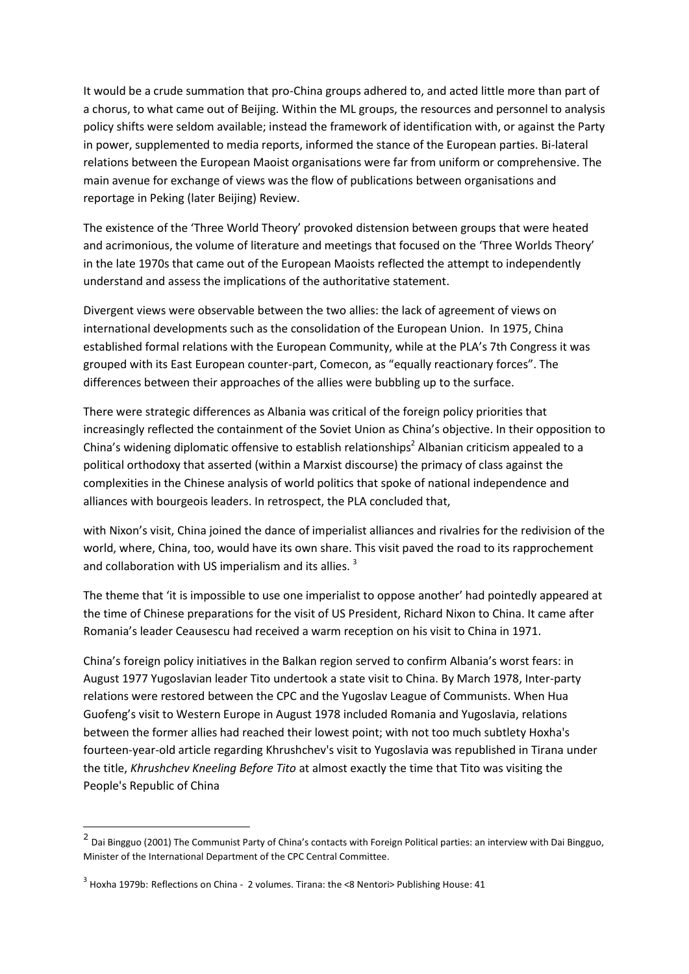It would be a crude summation that pro-China groups adhered to, and acted little more than part of a chorus, to what came out of Beijing. Within the ML groups, the resources and personnel to analysis policy shifts were seldom available; instead the framework of identification with, or against the Party in power, supplemented to media reports, informed the stance of the European parties. Bi-lateral relations between the European Maoist organisations were far from uniform or comprehensive. The main avenue for exchange of views was the flow of publications between organisations and reportage in Peking (later Beijing) Review.

The existence of the 'Three World Theory' provoked distension between groups that were heated and acrimonious, the volume of literature and meetings that focused on the 'Three Worlds Theory' in the late 1970s that came out of the European Maoists reflected the attempt to independently understand and assess the implications of the authoritative statement.

Divergent views were observable between the two allies: the lack of agreement of views on international developments such as the consolidation of the European Union. In 1975, China established formal relations with the European Community, while at the PLA's 7th Congress it was grouped with its East European counter-part, Comecon, as "equally reactionary forces". The differences between their approaches of the allies were bubbling up to the surface.

There were strategic differences as Albania was critical of the foreign policy priorities that increasingly reflected the containment of the Soviet Union as China's objective. In their opposition to China's widening diplomatic offensive to establish relationships<sup>2</sup> Albanian criticism appealed to a political orthodoxy that asserted (within a Marxist discourse) the primacy of class against the complexities in the Chinese analysis of world politics that spoke of national independence and alliances with bourgeois leaders. In retrospect, the PLA concluded that,

with Nixon's visit, China joined the dance of imperialist alliances and rivalries for the redivision of the world, where, China, too, would have its own share. This visit paved the road to its rapprochement and collaboration with US imperialism and its allies.<sup>3</sup>

The theme that 'it is impossible to use one imperialist to oppose another' had pointedly appeared at the time of Chinese preparations for the visit of US President, Richard Nixon to China. It came after Romania's leader Ceausescu had received a warm reception on his visit to China in 1971.

China's foreign policy initiatives in the Balkan region served to confirm Albania's worst fears: in August 1977 Yugoslavian leader Tito undertook a state visit to China. By March 1978, Inter-party relations were restored between the CPC and the Yugoslav League of Communists. When Hua Guofeng's visit to Western Europe in August 1978 included Romania and Yugoslavia, relations between the former allies had reached their lowest point; with not too much subtlety Hoxha's fourteen-year-old article regarding Khrushchev's visit to Yugoslavia was republished in Tirana under the title, *Khrushchev Kneeling Before Tito* at almost exactly the time that Tito was visiting the People's Republic of China

 2 Dai Bingguo (2001) The Communist Party of China's contacts with Foreign Political parties: an interview with Dai Bingguo, Minister of the International Department of the CPC Central Committee.

 $3$  Hoxha 1979b: Reflections on China - 2 volumes. Tirana: the <8 Nentori> Publishing House: 41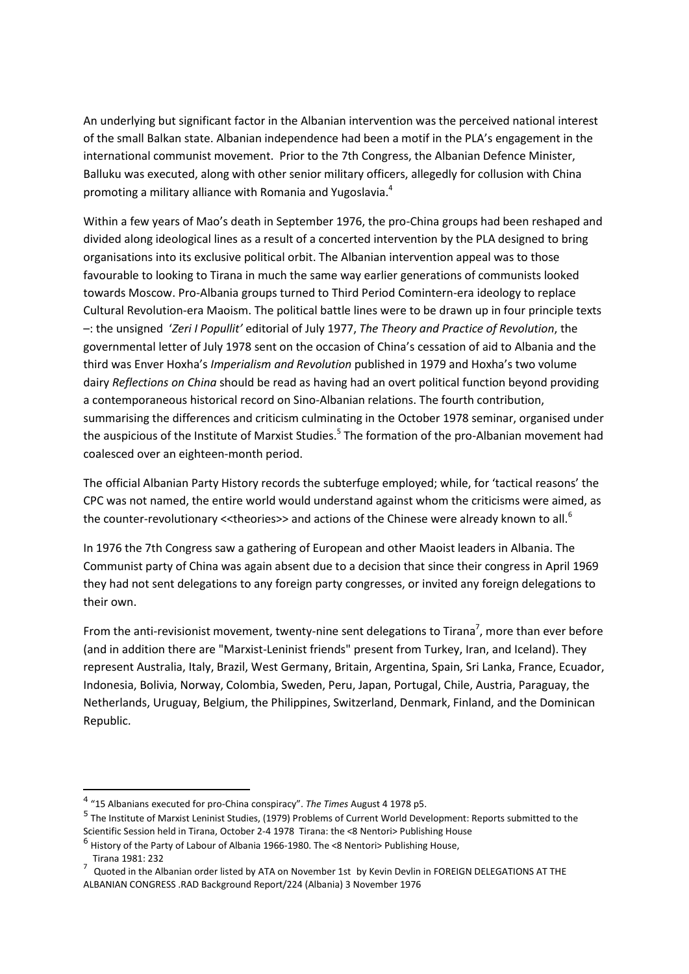An underlying but significant factor in the Albanian intervention was the perceived national interest of the small Balkan state. Albanian independence had been a motif in the PLA's engagement in the international communist movement. Prior to the 7th Congress, the Albanian Defence Minister, Balluku was executed, along with other senior military officers, allegedly for collusion with China promoting a military alliance with Romania and Yugoslavia.<sup>4</sup>

Within a few years of Mao's death in September 1976, the pro-China groups had been reshaped and divided along ideological lines as a result of a concerted intervention by the PLA designed to bring organisations into its exclusive political orbit. The Albanian intervention appeal was to those favourable to looking to Tirana in much the same way earlier generations of communists looked towards Moscow. Pro-Albania groups turned to Third Period Comintern-era ideology to replace Cultural Revolution-era Maoism. The political battle lines were to be drawn up in four principle texts –: the unsigned '*Zeri I Popullit'* editorial of July 1977, *The Theory and Practice of Revolution*, the governmental letter of July 1978 sent on the occasion of China's cessation of aid to Albania and the third was Enver Hoxha's *Imperialism and Revolution* published in 1979 and Hoxha's two volume dairy *Reflections on China* should be read as having had an overt political function beyond providing a contemporaneous historical record on Sino-Albanian relations. The fourth contribution, summarising the differences and criticism culminating in the October 1978 seminar, organised under the auspicious of the Institute of Marxist Studies.<sup>5</sup> The formation of the pro-Albanian movement had coalesced over an eighteen-month period.

The official Albanian Party History records the subterfuge employed; while, for 'tactical reasons' the CPC was not named, the entire world would understand against whom the criticisms were aimed, as the counter-revolutionary << theories>> and actions of the Chinese were already known to all.<sup>6</sup>

In 1976 the 7th Congress saw a gathering of European and other Maoist leaders in Albania. The Communist party of China was again absent due to a decision that since their congress in April 1969 they had not sent delegations to any foreign party congresses, or invited any foreign delegations to their own.

From the anti-revisionist movement, twenty-nine sent delegations to Tirana<sup>7</sup>, more than ever before (and in addition there are "Marxist-Leninist friends" present from Turkey, Iran, and Iceland). They represent Australia, Italy, Brazil, West Germany, Britain, Argentina, Spain, Sri Lanka, France, Ecuador, Indonesia, Bolivia, Norway, Colombia, Sweden, Peru, Japan, Portugal, Chile, Austria, Paraguay, the Netherlands, Uruguay, Belgium, the Philippines, Switzerland, Denmark, Finland, and the Dominican Republic.

 $\overline{a}$ 

<sup>4</sup> "15 Albanians executed for pro-China conspiracy". *The Times* August 4 1978 p5.

<sup>5</sup> The Institute of Marxist Leninist Studies, (1979) Problems of Current World Development: Reports submitted to the Scientific Session held in Tirana, October 2-4 1978 Tirana: the <8 Nentori> Publishing House

<sup>&</sup>lt;sup>6</sup> History of the Party of Labour of Albania 1966-1980. The <8 Nentori> Publishing House,

Tirana 1981: 232

 $^7$  Quoted in the Albanian order listed by ATA on November 1st by Kevin Devlin in FOREIGN DELEGATIONS AT THE ALBANIAN CONGRESS .RAD Background Report/224 (Albania) 3 November 1976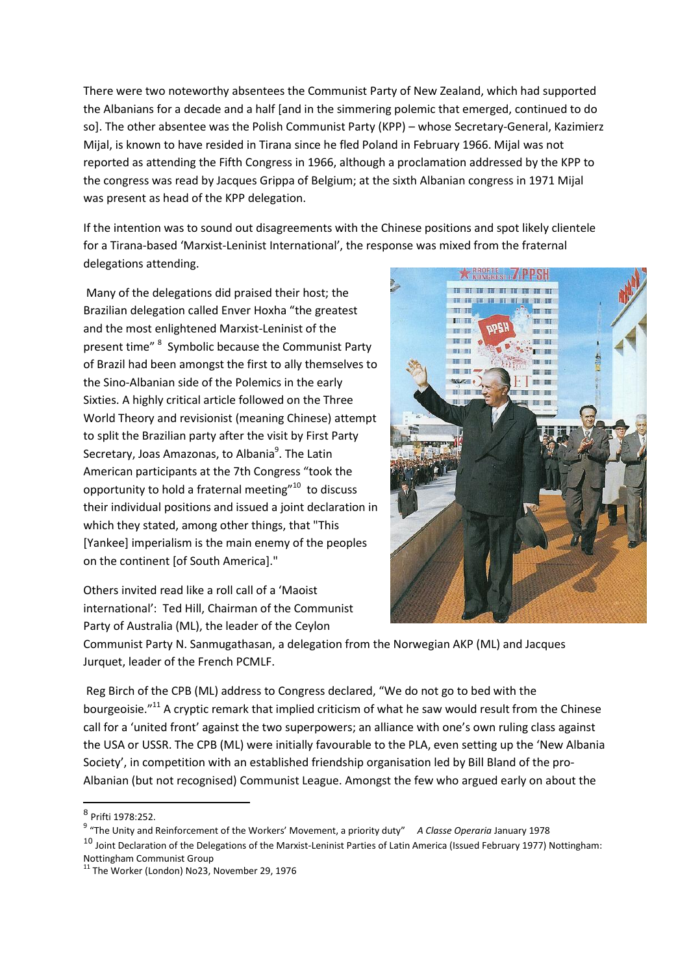There were two noteworthy absentees the Communist Party of New Zealand, which had supported the Albanians for a decade and a half [and in the simmering polemic that emerged, continued to do so]. The other absentee was the Polish Communist Party (KPP) – whose Secretary-General, Kazimierz Mijal, is known to have resided in Tirana since he fled Poland in February 1966. Mijal was not reported as attending the Fifth Congress in 1966, although a proclamation addressed by the KPP to the congress was read by Jacques Grippa of Belgium; at the sixth Albanian congress in 1971 Mijal was present as head of the KPP delegation.

If the intention was to sound out disagreements with the Chinese positions and spot likely clientele for a Tirana-based 'Marxist-Leninist International', the response was mixed from the fraternal delegations attending.

Many of the delegations did praised their host; the Brazilian delegation called Enver Hoxha "the greatest and the most enlightened Marxist-Leninist of the present time" <sup>8</sup> Symbolic because the Communist Party of Brazil had been amongst the first to ally themselves to the Sino-Albanian side of the Polemics in the early Sixties. A highly critical article followed on the Three World Theory and revisionist (meaning Chinese) attempt to split the Brazilian party after the visit by First Party Secretary, Joas Amazonas, to Albania<sup>9</sup>. The Latin American participants at the 7th Congress "took the opportunity to hold a fraternal meeting"<sup>10</sup> to discuss their individual positions and issued a joint declaration in which they stated, among other things, that "This [Yankee] imperialism is the main enemy of the peoples on the continent [of South America]."

Others invited read like a roll call of a 'Maoist international': Ted Hill, Chairman of the Communist Party of Australia (ML), the leader of the Ceylon



Communist Party N. Sanmugathasan, a delegation from the Norwegian AKP (ML) and Jacques Jurquet, leader of the French PCMLF.

Reg Birch of the CPB (ML) address to Congress declared, "We do not go to bed with the bourgeoisie."<sup>11</sup> A cryptic remark that implied criticism of what he saw would result from the Chinese call for a 'united front' against the two superpowers; an alliance with one's own ruling class against the USA or USSR. The CPB (ML) were initially favourable to the PLA, even setting up the 'New Albania Society', in competition with an established friendship organisation led by Bill Bland of the pro-Albanian (but not recognised) Communist League. Amongst the few who argued early on about the

 $\overline{a}$ 

 $10$  Joint Declaration of the Delegations of the Marxist-Leninist Parties of Latin America (Issued February 1977) Nottingham:

Nottingham Communist Group

<sup>8</sup> Prifti 1978:252.

<sup>9</sup> "The Unity and Reinforcement of the Workers' Movement, a priority duty" *A Classe Operaria* January 1978

 $11$  The Worker (London) No23, November 29, 1976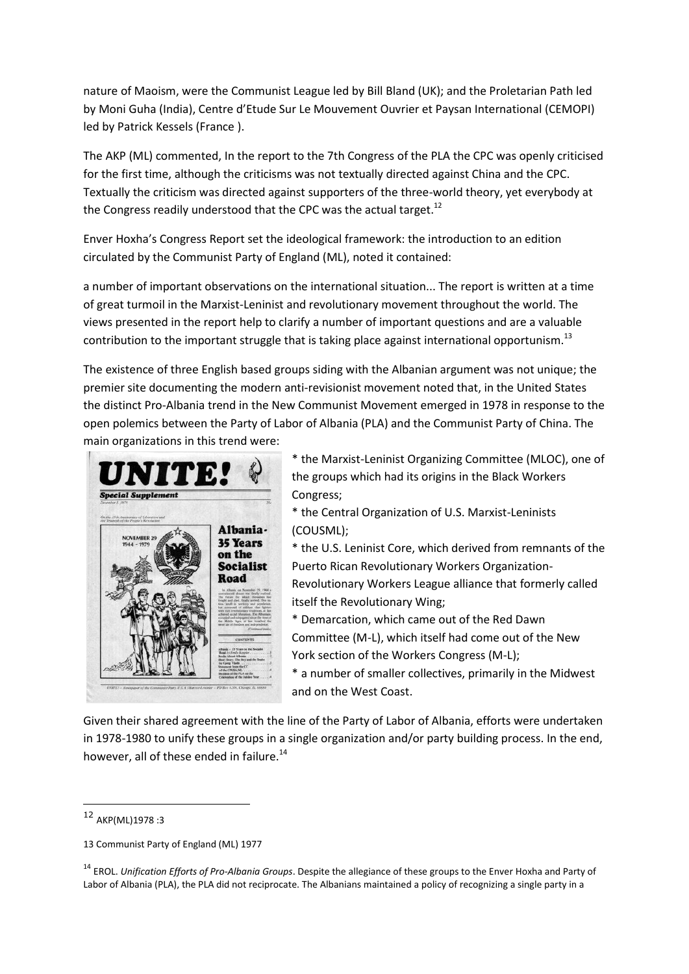nature of Maoism, were the Communist League led by Bill Bland (UK); and the Proletarian Path led by Moni Guha (India), Centre d'Etude Sur Le Mouvement Ouvrier et Paysan International (CEMOPI) led by Patrick Kessels (France ).

The AKP (ML) commented, In the report to the 7th Congress of the PLA the CPC was openly criticised for the first time, although the criticisms was not textually directed against China and the CPC. Textually the criticism was directed against supporters of the three-world theory, yet everybody at the Congress readily understood that the CPC was the actual target.<sup>12</sup>

Enver Hoxha's Congress Report set the ideological framework: the introduction to an edition circulated by the Communist Party of England (ML), noted it contained:

a number of important observations on the international situation... The report is written at a time of great turmoil in the Marxist-Leninist and revolutionary movement throughout the world. The views presented in the report help to clarify a number of important questions and are a valuable contribution to the important struggle that is taking place against international opportunism.<sup>13</sup>

The existence of three English based groups siding with the Albanian argument was not unique; the premier site documenting the modern anti-revisionist movement noted that, in the United States the distinct Pro-Albania trend in the New Communist Movement emerged in 1978 in response to the open polemics between the Party of Labor of Albania (PLA) and the Communist Party of China. The main organizations in this trend were:



\* the Marxist-Leninist Organizing Committee (MLOC), one of the groups which had its origins in the Black Workers Congress;

\* the Central Organization of U.S. Marxist-Leninists (COUSML);

\* the U.S. Leninist Core, which derived from remnants of the Puerto Rican Revolutionary Workers Organization-Revolutionary Workers League alliance that formerly called itself the Revolutionary Wing;

\* Demarcation, which came out of the Red Dawn Committee (M-L), which itself had come out of the New York section of the Workers Congress (M-L);

\* a number of smaller collectives, primarily in the Midwest and on the West Coast.

Given their shared agreement with the line of the Party of Labor of Albania, efforts were undertaken in 1978-1980 to unify these groups in a single organization and/or party building process. In the end, however, all of these ended in failure.<sup>14</sup>

1

<sup>12</sup> AKP(ML)1978 :3

<sup>13</sup> Communist Party of England (ML) 1977

<sup>14</sup> EROL. *Unification Efforts of Pro-Albania Groups*. Despite the allegiance of these groups to the Enver Hoxha and Party of Labor of Albania (PLA), the PLA did not reciprocate. The Albanians maintained a policy of recognizing a single party in a